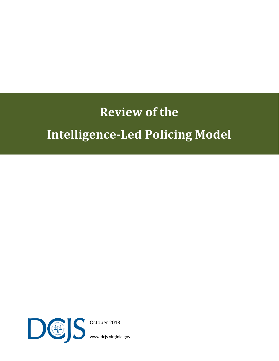# **Review of the Intelligence-Led Policing Model**



October 2013

[www.dcjs.virginia.gov](http://www.dcjs.virginia.gov/)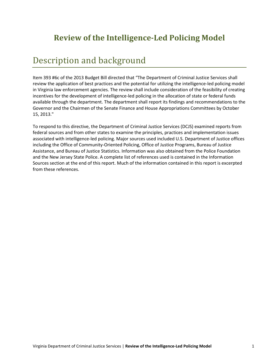### **Review of the Intelligence-Led Policing Model**

### Description and background

Item 393 #6c of the 2013 Budget Bill directed that "The Department of Criminal Justice Services shall review the application of best practices and the potential for utilizing the intelligence-led policing model in Virginia law enforcement agencies. The review shall include consideration of the feasibility of creating incentives for the development of intelligence-led policing in the allocation of state or federal funds available through the department. The department shall report its findings and recommendations to the Governor and the Chairmen of the Senate Finance and House Appropriations Committees by October 15, 2013."

To respond to this directive, the Department of Criminal Justice Services (DCJS) examined reports from federal sources and from other states to examine the principles, practices and implementation issues associated with intelligence-led policing. Major sources used included U.S. Department of Justice offices including the Office of Community-Oriented Policing, Office of Justice Programs, Bureau of Justice Assistance, and Bureau of Justice Statistics. Information was also obtained from the Police Foundation and the New Jersey State Police. A complete list of references used is contained in the Information Sources section at the end of this report. Much of the information contained in this report is excerpted from these references.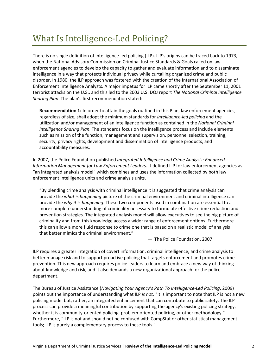### What Is Intelligence-Led Policing?

There is no single definition of intelligence-led policing (ILP). ILP's origins can be traced back to 1973, when the National Advisory Commission on Criminal Justice Standards & Goals called on law enforcement agencies to develop the capacity to gather and evaluate information and to disseminate intelligence in a way that protects individual privacy while curtailing organized crime and public disorder. In 1980, the ILP approach was fostered with the creation of the International Association of Enforcement Intelligence Analysts. A major impetus for ILP came shortly after the September 11, 2001 terrorist attacks on the U.S., and this led to the 2003 U.S. DOJ report *The National Criminal Intelligence Sharing Plan*. The plan's first recommendation stated:

**Recommendation 1:** In order to attain the goals outlined in this Plan, law enforcement agencies, regardless of size, shall adopt the minimum standards for *intelligence-led policing* and the utilization and/or management of an intelligence function as contained in the *National Criminal Intelligence Sharing Plan*. The standards focus on the intelligence process and include elements such as mission of the function, management and supervision, personnel selection, training, security, privacy rights, development and dissemination of intelligence products, and accountability measures.

In 2007, the Police Foundation published *Integrated Intelligence and Crime Analysis: Enhanced Information Management for Law Enforcement Leaders*. It defined ILP for law enforcement agencies as "an integrated analysis model" which combines and uses the information collected by both law enforcement intelligence units and crime analysis units.

"By blending crime analysis with criminal intelligence it is suggested that crime analysis can provide the w*hat is happening* picture of the criminal environment and criminal intelligence can provide the *why it is happening*. These two components used in combination are essential to a more complete understanding of criminality necessary to formulate effective crime reduction and prevention strategies. The integrated analysis model will allow executives to see the big picture of criminality and from this knowledge access a wider range of enforcement options. Furthermore this can allow a more fluid response to crime one that is based on a realistic model of analysis that better mimics the criminal environment."

— The Police Foundation, 2007

ILP requires a greater integration of covert information, criminal intelligence, and crime analysis to better manage risk and to support proactive policing that targets enforcement and promotes crime prevention. This new approach requires police leaders to learn and embrace a new way of thinking about knowledge and risk, and it also demands a new organizational approach for the police department.

The Bureau of Justice Assistance (*Navigating Your Agency's Path To Intelligence-Led Policing*, 2009) points out the importance of understanding what ILP *is not.* "It is important to note that ILP is not a new policing model but, rather, an integrated enhancement that can contribute to public safety. The ILP process can provide a meaningful contribution by supporting the agency's existing policing strategy, whether it is community-oriented policing, problem-oriented policing, or other methodology." Furthermore, "ILP is not and should not be confused with CompStat or other statistical management tools; ILP is purely a complementary process to these tools."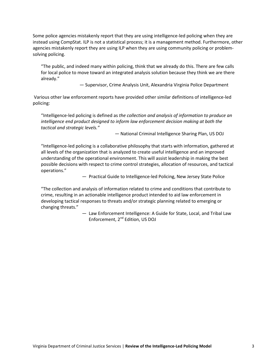Some police agencies mistakenly report that they are using intelligence-led policing when they are instead using CompStat. ILP is not a statistical process; it is a management method. Furthermore, other agencies mistakenly report they are using ILP when they are using community policing or problemsolving policing.

"The public, and indeed many within policing, think that we already do this. There are few calls for local police to move toward an integrated analysis solution because they think we are there already."

— Supervisor, Crime Analysis Unit, Alexandria Virginia Police Department

Various other law enforcement reports have provided other similar definitions of intelligence-led policing:

"Intelligence-led policing is defined as *the collection and analysis of information to produce an intelligence end product designed to inform law enforcement decision making at both the tactical and strategic levels."*

— National Criminal Intelligence Sharing Plan, US DOJ

"Intelligence-led policing is a collaborative philosophy that starts with information, gathered at all levels of the organization that is analyzed to create useful intelligence and an improved understanding of the operational environment. This will assist leadership in making the best possible decisions with respect to crime control strategies, allocation of resources, and tactical operations."

— Practical Guide to Intelligence-led Policing, New Jersey State Police

"The collection and analysis of information related to crime and conditions that contribute to crime, resulting in an actionable intelligence product intended to aid law enforcement in developing tactical responses to threats and/or strategic planning related to emerging or changing threats."

> — Law Enforcement Intelligence: A Guide for State, Local, and Tribal Law Enforcement, 2<sup>nd</sup> Edition, US DOJ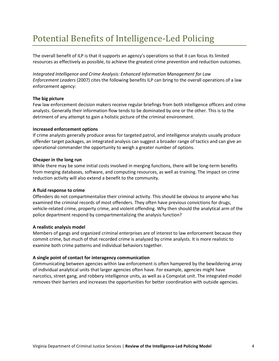### Potential Benefits of Intelligence-Led Policing

The overall benefit of ILP is that it supports an agency's operations so that it can focus its limited resources as effectively as possible, to achieve the greatest crime prevention and reduction outcomes.

*Integrated Intelligence and Crime Analysis: Enhanced Information Management for Law Enforcement Leaders* (2007) cites the following benefits ILP can bring to the overall operations of a law enforcement agency:

#### **The big picture**

Few law enforcement decision makers receive regular briefings from both intelligence officers and crime analysts. Generally their information flow tends to be dominated by one or the other. This is to the detriment of any attempt to gain a holistic picture of the criminal environment.

#### **Increased enforcement options**

If crime analysts generally produce areas for targeted patrol, and intelligence analysts usually produce offender target packages, an integrated analysis can suggest a broader range of tactics and can give an operational commander the opportunity to weigh a greater number of options.

#### **Cheaper in the long run**

While there may be some initial costs involved in merging functions, there will be long-term benefits from merging databases, software, and computing resources, as well as training. The impact on crime reduction activity will also extend a benefit to the community.

#### **A fluid response to crime**

Offenders do not compartmentalize their criminal activity. This should be obvious to anyone who has examined the criminal records of most offenders. They often have previous convictions for drugs, vehicle-related crime, property crime, and violent offending. Why then should the analytical arm of the police department respond by compartmentalizing the analysis function?

#### **A realistic analysis model**

Members of gangs and organized criminal enterprises are of interest to law enforcement because they commit crime, but much of that recorded crime is analyzed by crime analysts. It is more realistic to examine both crime patterns and individual behaviors together.

#### **A single point of contact for interagency communication**

Communicating between agencies within law enforcement is often hampered by the bewildering array of individual analytical units that larger agencies often have. For example, agencies might have narcotics, street gang, and robbery intelligence units, as well as a Compstat unit. The integrated model removes their barriers and increases the opportunities for better coordination with outside agencies.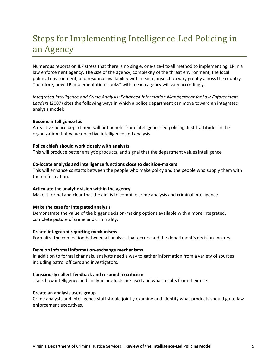## Steps for Implementing Intelligence-Led Policing in an Agency

Numerous reports on ILP stress that there is no single, one-size-fits-all method to implementing ILP in a law enforcement agency. The size of the agency, complexity of the threat environment, the local political environment, and resource availability within each jurisdiction vary greatly across the country. Therefore, how ILP implementation "looks" within each agency will vary accordingly.

*Integrated Intelligence and Crime Analysis: Enhanced Information Management for Law Enforcement Leaders* (2007) cites the following ways in which a police department can move toward an integrated analysis model:

#### **Become intelligence-led**

A reactive police department will not benefit from intelligence-led policing. Instill attitudes in the organization that value objective intelligence and analysis.

#### **Police chiefs should work closely with analysts**

This will produce better analytic products, and signal that the department values intelligence.

#### **Co-locate analysis and intelligence functions close to decision-makers**

This will enhance contacts between the people who make policy and the people who supply them with their information.

#### **Articulate the analytic vision within the agency**

Make it formal and clear that the aim is to combine crime analysis and criminal intelligence.

#### **Make the case for integrated analysis**

Demonstrate the value of the bigger decision-making options available with a more integrated, complete picture of crime and criminality.

#### **Create integrated reporting mechanisms**

Formalize the connection between all analysis that occurs and the department's decision-makers.

#### **Develop informal information-exchange mechanisms**

In addition to formal channels, analysts need a way to gather information from a variety of sources including patrol officers and investigators.

#### **Consciously collect feedback and respond to criticism**

Track how intelligence and analytic products are used and what results from their use.

#### **Create an analysis users group**

Crime analysts and intelligence staff should jointly examine and identify what products should go to law enforcement executives.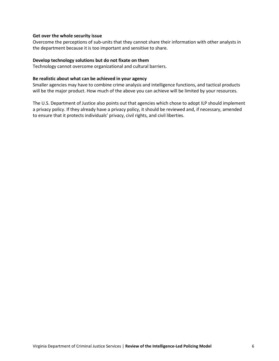#### **Get over the whole security issue**

Overcome the perceptions of sub-units that they cannot share their information with other analysts in the department because it is too important and sensitive to share.

#### **Develop technology solutions but do not fixate on them**

Technology cannot overcome organizational and cultural barriers.

#### **Be realistic about what can be achieved in your agency**

Smaller agencies may have to combine crime analysis and intelligence functions, and tactical products will be the major product. How much of the above you can achieve will be limited by your resources.

The U.S. Department of Justice also points out that agencies which chose to adopt ILP should implement a privacy policy. If they already have a privacy policy, it should be reviewed and, if necessary, amended to ensure that it protects individuals' privacy, civil rights, and civil liberties.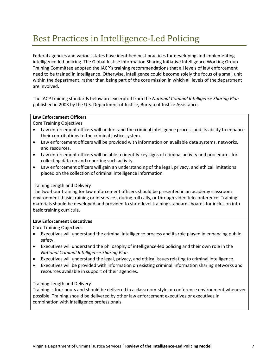### Best Practices in Intelligence-Led Policing

Federal agencies and various states have identified best practices for developing and implementing intelligence-led policing. The Global Justice Information Sharing Initiative Intelligence Working Group Training Committee adopted the IACP's training recommendations that all levels of law enforcement need to be trained in intelligence. Otherwise, intelligence could become solely the focus of a small unit within the department, rather than being part of the core mission in which all levels of the department are involved.

The IACP training standards below are excerpted from the *National Criminal Intelligence Sharing Plan*  published in 2003 by the U.S. Department of Justice, Bureau of Justice Assistance.

#### **Law Enforcement Officers**

Core Training Objectives

- Law enforcement officers will understand the criminal intelligence process and its ability to enhance their contributions to the criminal justice system.
- Law enforcement officers will be provided with information on available data systems, networks, and resources.
- Law enforcement officers will be able to identify key signs of criminal activity and procedures for collecting data on and reporting such activity.
- Law enforcement officers will gain an understanding of the legal, privacy, and ethical limitations placed on the collection of criminal intelligence information.

#### Training Length and Delivery

The two-hour training for law enforcement officers should be presented in an academy classroom environment (basic training or in-service), during roll calls, or through video teleconference. Training materials should be developed and provided to state-level training standards boards for inclusion into basic training curricula.

#### **Law Enforcement Executives**

Core Training Objectives

- Executives will understand the criminal intelligence process and its role played in enhancing public safety.
- Executives will understand the philosophy of intelligence-led policing and their own role in the *National Criminal Intelligence Sharing Plan*.
- Executives will understand the legal, privacy, and ethical issues relating to criminal intelligence.
- Executives will be provided with information on existing criminal information sharing networks and resources available in support of their agencies.

#### Training Length and Delivery

Training is four hours and should be delivered in a classroom-style or conference environment whenever possible. Training should be delivered by other law enforcement executives or executives in combination with intelligence professionals.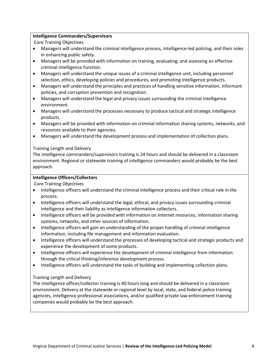#### **Intelligence Commanders/Supervisors**

Core Training Objectives

- Managers will understand the criminal intelligence process, intelligence-led policing, and their roles in enhancing public safety.
- Managers will be provided with information on training, evaluating, and assessing an effective criminal intelligence function.
- Managers will understand the unique issues of a criminal intelligence unit, including personnel selection, ethics, developing policies and procedures, and promoting intelligence products.
- Managers will understand the principles and practices of handling sensitive information, informant policies, and corruption prevention and recognition.
- Managers will understand the legal and privacy issues surrounding the criminal intelligence environment.
- Managers will understand the processes necessary to produce tactical and strategic intelligence products.
- Managers will be provided with information on criminal information sharing systems, networks, and resources available to their agencies.
- Managers will understand the development process and implementation of collection plans.

#### Training Length and Delivery

The intelligence commanders/supervisors training is 24 hours and should be delivered in a classroom environment. Regional or statewide training of intelligence commanders would probably be the best approach.

#### **Intelligence Officers/Collectors**

Core Training Objectives

- Intelligence officers will understand the criminal intelligence process and their critical role in the process.
- Intelligence officers will understand the legal, ethical, and privacy issues surrounding criminal intelligence and their liability as intelligence information collectors.
- Intelligence officers will be provided with information on Internet resources, information sharing systems, networks, and other sources of information.
- Intelligence officers will gain an understanding of the proper handling of criminal intelligence information, including file management and information evaluation.
- Intelligence officers will understand the processes of developing tactical and strategic products and experience the development of some products.
- Intelligence officers will experience the development of criminal intelligence from information through the critical thinking/inference development process.
- Intelligence officers will understand the tasks of building and implementing collection plans.

#### Training Length and Delivery

The intelligence officer/collector training is 40 hours long and should be delivered in a classroom environment. Delivery at the statewide or regional level by local, state, and federal police training agencies, intelligence professional associations, and/or qualified private law enforcement training companies would probably be the best approach.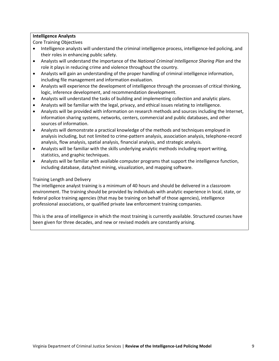#### **Intelligence Analysts**

Core Training Objectives

- Intelligence analysts will understand the criminal intelligence process, intelligence-led policing, and their roles in enhancing public safety.
- Analysts will understand the importance of the *National Criminal Intelligence Sharing Plan* and the role it plays in reducing crime and violence throughout the country.
- Analysts will gain an understanding of the proper handling of criminal intelligence information, including file management and information evaluation.
- Analysts will experience the development of intelligence through the processes of critical thinking, logic, inference development, and recommendation development.
- Analysts will understand the tasks of building and implementing collection and analytic plans.
- Analysts will be familiar with the legal, privacy, and ethical issues relating to intelligence.
- Analysts will be provided with information on research methods and sources including the Internet, information sharing systems, networks, centers, commercial and public databases, and other sources of information.
- Analysts will demonstrate a practical knowledge of the methods and techniques employed in analysis including, but not limited to crime-pattern analysis, association analysis, telephone-record analysis, flow analysis, spatial analysis, financial analysis, and strategic analysis.
- Analysts will be familiar with the skills underlying analytic methods including report writing, statistics, and graphic techniques.
- Analysts will be familiar with available computer programs that support the intelligence function, including database, data/text mining, visualization, and mapping software.

#### Training Length and Delivery

The intelligence analyst training is a minimum of 40 hours and should be delivered in a classroom environment. The training should be provided by individuals with analytic experience in local, state, or federal police training agencies (that may be training on behalf of those agencies), intelligence professional associations, or qualified private law enforcement training companies.

This is the area of intelligence in which the most training is currently available. Structured courses have been given for three decades, and new or revised models are constantly arising.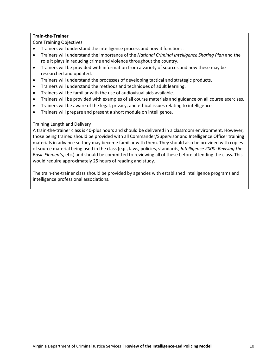#### **Train-the-Trainer**

Core Training Objectives

- Trainers will understand the intelligence process and how it functions.
- Trainers will understand the importance of the *National Criminal Intelligence Sharing Plan* and the role it plays in reducing crime and violence throughout the country.
- Trainers will be provided with information from a variety of sources and how these may be researched and updated.
- Trainers will understand the processes of developing tactical and strategic products.
- Trainers will understand the methods and techniques of adult learning.
- Trainers will be familiar with the use of audiovisual aids available.
- Trainers will be provided with examples of all course materials and guidance on all course exercises.
- Trainers will be aware of the legal, privacy, and ethical issues relating to intelligence.
- Trainers will prepare and present a short module on intelligence.

#### Training Length and Delivery

A train-the-trainer class is 40-plus hours and should be delivered in a classroom environment. However, those being trained should be provided with all Commander/Supervisor and Intelligence Officer training materials in advance so they may become familiar with them. They should also be provided with copies of source material being used in the class (e.g., laws, policies, standards, *Intelligence 2000: Revising the Basic Elements*, etc.) and should be committed to reviewing all of these before attending the class. This would require approximately 25 hours of reading and study.

The train-the-trainer class should be provided by agencies with established intelligence programs and intelligence professional associations.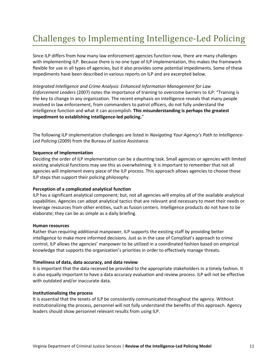# Challenges to Implementing Intelligence-Led Policing

Since ILP differs from how many law enforcement agencies function now, there are many challenges with implementing ILP. Because there is no one type of ILP implementation, this makes the framework flexible for use in all types of agencies, but it also provides some potential impediments. Some of these impediments have been described in various reports on ILP and are excerpted below.

*Integrated Intelligence and Crime Analysis: Enhanced Information Management for Law Enforcement Leaders* (2007) notes the importance of training to overcome barriers to ILP: "Training is the key to change in any organization. The recent emphasis on intelligence reveals that many people involved in law enforcement, from commanders to patrol officers, do not fully understand the intelligence function and what it can accomplish. **This misunderstanding is perhaps the greatest impediment to establishing intelligence-led policing.**"

The following ILP implementation challenges are listed in *Navigating Your Agency's Path to Intelligence-Led Policing* (2009) from the Bureau of Justice Assistance.

#### **Sequence of implementation**

Deciding the order of ILP implementation can be a daunting task. Small agencies or agencies with limited existing analytical functions may see this as overwhelming. It is important to remember that not all agencies will implement every piece of the ILP process. This approach allows agencies to choose those ILP steps that support their policing philosophy.

#### **Perception of a complicated analytical function**

ILP has a significant analytical component; but, not all agencies will employ all of the available analytical capabilities. Agencies can adopt analytical tactics that are relevant and necessary to meet their needs or leverage resources from other entities, such as fusion centers. Intelligence products do not have to be elaborate; they can be as simple as a daily briefing.

#### **Human resources**

Rather than requiring additional manpower, ILP supports the existing staff by providing better intelligence to make more informed decisions. Just as in the case of CompStat's approach to crime control, ILP allows the agencies' manpower to be utilized in a coordinated fashion based on empirical knowledge that supports the organization's priorities in order to effectively manage threats.

#### **Timeliness of data, data accuracy, and data review**

It is important that the data received be provided to the appropriate stakeholders in a timely fashion. It is also equally important to have a data accuracy evaluation and review process. ILP will not be effective with outdated and/or inaccurate data.

#### **Institutionalizing the process**

It is essential that the tenets of ILP be consistently communicated throughout the agency. Without institutionalizing the process, personnel will not fully understand the benefits of this approach. Agency leaders should show personnel relevant results from using ILP.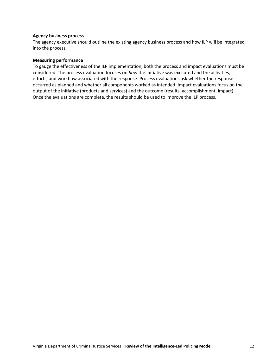#### **Agency business process**

The agency executive should outline the existing agency business process and how ILP will be integrated into the process.

#### **Measuring performance**

To gauge the effectiveness of the ILP implementation, both the process and impact evaluations must be considered. The process evaluation focuses on *how* the initiative was executed and the activities, efforts, and workflow associated with the response. Process evaluations ask whether the response occurred as planned and whether all components worked as intended. Impact evaluations focus on the output of the initiative (products and services) and the outcome (results, accomplishment, impact). Once the evaluations are complete, the results should be used to improve the ILP process.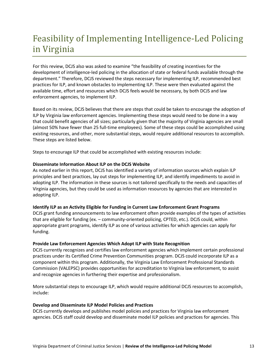# Feasibility of Implementing Intelligence-Led Policing in Virginia

For this review, DCJS also was asked to examine "the feasibility of creating incentives for the development of intelligence-led policing in the allocation of state or federal funds available through the department." Therefore, DCJS reviewed the steps necessary for implementing ILP, recommended best practices for ILP, and known obstacles to implementing ILP. These were then evaluated against the available time, effort and resources which DCJS feels would be necessary, by both DCJS and law enforcement agencies, to implement ILP.

Based on its review, DCJS believes that there are steps that could be taken to encourage the adoption of ILP by Virginia law enforcement agencies. Implementing these steps would need to be done in a way that could benefit agencies of all sizes; particularly given that the majority of Virginia agencies are small (almost 50% have fewer than 25 full-time employees). Some of these steps could be accomplished using existing resources, and other, more substantial steps, would require additional resources to accomplish. These steps are listed below.

Steps to encourage ILP that could be accomplished with existing resources include:

#### **Disseminate Information About ILP on the DCJS Website**

As noted earlier in this report, DCJS has identified a variety of information sources which explain ILP principles and best practices, lay out steps for implementing ILP, and identify impediments to avoid in adopting ILP. The information in these sources is not tailored specifically to the needs and capacities of Virginia agencies, but they could be used as information resources by agencies that are interested in adopting ILP.

#### **Identify ILP as an Activity Eligible for Funding in Current Law Enforcement Grant Programs**

DCJS grant funding announcements to law enforcement often provide examples of the types of activities that are eligible for funding (ex. – community-oriented policing, CPTED, etc.). DCJS could, within appropriate grant programs, identify ILP as one of various activities for which agencies can apply for funding.

#### **Provide Law Enforcement Agencies Which Adopt ILP with State Recognition**

DCJS currently recognizes and certifies law enforcement agencies which implement certain professional practices under its Certified Crime Prevention Communities program. DCJS could incorporate ILP as a component within this program. Additionally, the Virginia Law Enforcement Professional Standards Commission (VALEPSC) provides opportunities for accreditation to Virginia law enforcement, to assist and recognize agencies in furthering their expertise and professionalism.

More substantial steps to encourage ILP, which would require additional DCJS resources to accomplish, include:

#### **Develop and Disseminate ILP Model Policies and Practices**

DCJS currently develops and publishes model policies and practices for Virginia law enforcement agencies. DCJS staff could develop and disseminate model ILP policies and practices for agencies. This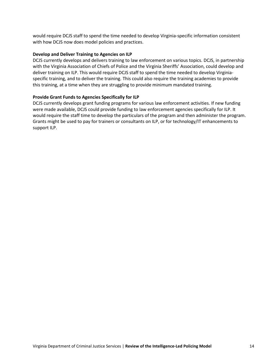would require DCJS staff to spend the time needed to develop Virginia-specific information consistent with how DCJS now does model policies and practices.

#### **Develop and Deliver Training to Agencies on ILP**

DCJS currently develops and delivers training to law enforcement on various topics. DCJS, in partnership with the Virginia Association of Chiefs of Police and the Virginia Sheriffs' Association, could develop and deliver training on ILP. This would require DCJS staff to spend the time needed to develop Virginiaspecific training, and to deliver the training. This could also require the training academies to provide this training, at a time when they are struggling to provide minimum mandated training.

#### **Provide Grant Funds to Agencies Specifically for ILP**

DCJS currently develops grant funding programs for various law enforcement activities. If new funding were made available, DCJS could provide funding to law enforcement agencies specifically for ILP. It would require the staff time to develop the particulars of the program and then administer the program. Grants might be used to pay for trainers or consultants on ILP, or for technology/IT enhancements to support ILP.